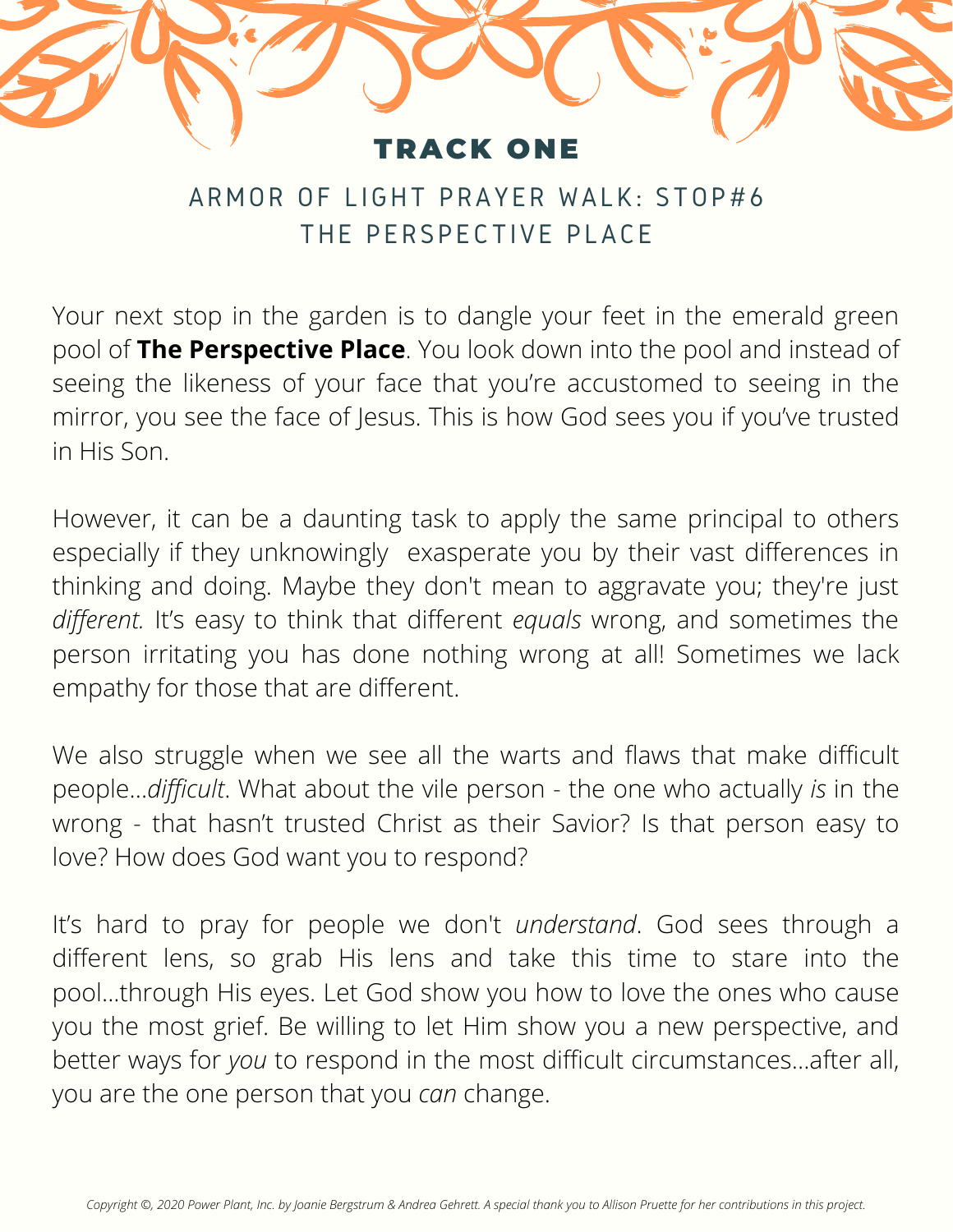## **RACK ONE**

## ARMOR OF LIGHT PRAYER WALK: STOP#6 THE PERSPECTIVE PLACE

Your next stop in the garden is to dangle your feet in the emerald green pool of **The Perspective Place**. You look down into the pool and instead of seeing the likeness of your face that you're accustomed to seeing in the mirror, you see the face of Jesus. This is how God sees you if you've trusted in His Son.

However, it can be a daunting task to apply the same principal to others especially if they unknowingly exasperate you by their vast differences in thinking and doing. Maybe they don't mean to aggravate you; they're just *different.* It's easy to think that different *equals* wrong, and sometimes the person irritating you has done nothing wrong at all! Sometimes we lack empathy for those that are different.

We also struggle when we see all the warts and flaws that make difficult people…*difficult*. What about the vile person - the one who actually *is* in the wrong - that hasn't trusted Christ as their Savior? Is that person easy to love? How does God want you to respond?

It's hard to pray for people we don't *understand*. God sees through a different lens, so grab His lens and take this time to stare into the pool...through His eyes. Let God show you how to love the ones who cause you the most grief. Be willing to let Him show you a new perspective, and better ways for *you* to respond in the most difficult circumstances…after all, you are the one person that you *can* change.